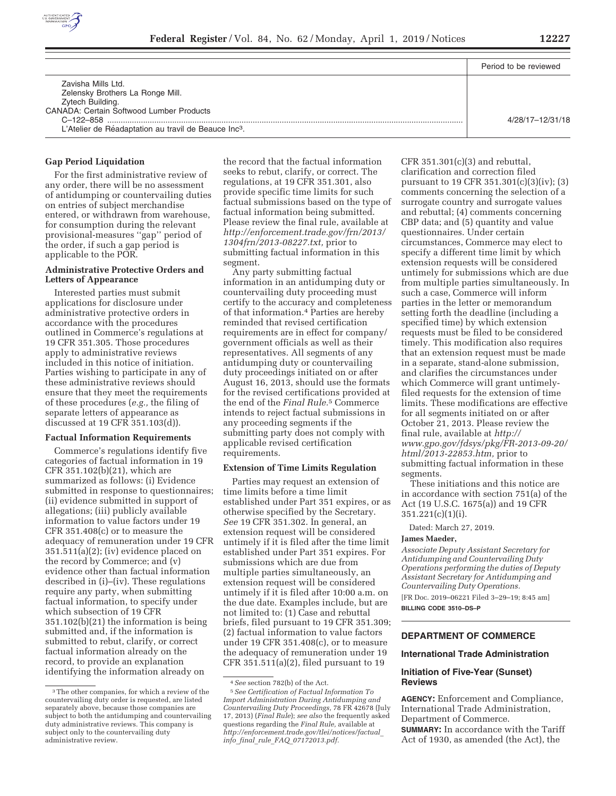

|                                                                                                                     | Period to be reviewed |
|---------------------------------------------------------------------------------------------------------------------|-----------------------|
| Zavisha Mills Ltd.<br>Zelensky Brothers La Ronge Mill.<br>Zytech Building.                                          |                       |
| <b>CANADA: Certain Softwood Lumber Products</b><br>L'Atelier de Réadaptation au travil de Beauce Inc <sup>3</sup> . | 4/28/17-12/31/18      |

#### **Gap Period Liquidation**

For the first administrative review of any order, there will be no assessment of antidumping or countervailing duties on entries of subject merchandise entered, or withdrawn from warehouse, for consumption during the relevant provisional-measures ''gap'' period of the order, if such a gap period is applicable to the POR.

#### **Administrative Protective Orders and Letters of Appearance**

Interested parties must submit applications for disclosure under administrative protective orders in accordance with the procedures outlined in Commerce's regulations at 19 CFR 351.305. Those procedures apply to administrative reviews included in this notice of initiation. Parties wishing to participate in any of these administrative reviews should ensure that they meet the requirements of these procedures (*e.g.,* the filing of separate letters of appearance as discussed at 19 CFR 351.103(d)).

#### **Factual Information Requirements**

Commerce's regulations identify five categories of factual information in 19 CFR 351.102(b)(21), which are summarized as follows: (i) Evidence submitted in response to questionnaires; (ii) evidence submitted in support of allegations; (iii) publicly available information to value factors under 19 CFR 351.408(c) or to measure the adequacy of remuneration under 19 CFR 351.511(a)(2); (iv) evidence placed on the record by Commerce; and (v) evidence other than factual information described in (i)–(iv). These regulations require any party, when submitting factual information, to specify under which subsection of 19 CFR 351.102(b)(21) the information is being submitted and, if the information is submitted to rebut, clarify, or correct factual information already on the record, to provide an explanation identifying the information already on

the record that the factual information seeks to rebut, clarify, or correct. The regulations, at 19 CFR 351.301, also provide specific time limits for such factual submissions based on the type of factual information being submitted. Please review the final rule, available at *http://enforcement.trade.gov/frn/2013/ 1304frn/2013-08227.txt,* prior to submitting factual information in this segment.

Any party submitting factual information in an antidumping duty or countervailing duty proceeding must certify to the accuracy and completeness of that information.4 Parties are hereby reminded that revised certification requirements are in effect for company/ government officials as well as their representatives. All segments of any antidumping duty or countervailing duty proceedings initiated on or after August 16, 2013, should use the formats for the revised certifications provided at the end of the *Final Rule.*5 Commerce intends to reject factual submissions in any proceeding segments if the submitting party does not comply with applicable revised certification requirements.

#### **Extension of Time Limits Regulation**

Parties may request an extension of time limits before a time limit established under Part 351 expires, or as otherwise specified by the Secretary. *See* 19 CFR 351.302. In general, an extension request will be considered untimely if it is filed after the time limit established under Part 351 expires. For submissions which are due from multiple parties simultaneously, an extension request will be considered untimely if it is filed after 10:00 a.m. on the due date. Examples include, but are not limited to: (1) Case and rebuttal briefs, filed pursuant to 19 CFR 351.309; (2) factual information to value factors under 19 CFR 351.408(c), or to measure the adequacy of remuneration under 19 CFR 351.511(a)(2), filed pursuant to 19

CFR  $351.301(c)(3)$  and rebuttal, clarification and correction filed pursuant to 19 CFR 351.301(c)(3)(iv); (3) comments concerning the selection of a surrogate country and surrogate values and rebuttal; (4) comments concerning CBP data; and (5) quantity and value questionnaires. Under certain circumstances, Commerce may elect to specify a different time limit by which extension requests will be considered untimely for submissions which are due from multiple parties simultaneously. In such a case, Commerce will inform parties in the letter or memorandum setting forth the deadline (including a specified time) by which extension requests must be filed to be considered timely. This modification also requires that an extension request must be made in a separate, stand-alone submission, and clarifies the circumstances under which Commerce will grant untimelyfiled requests for the extension of time limits. These modifications are effective for all segments initiated on or after October 21, 2013. Please review the final rule, available at *http:// www.gpo.gov/fdsys/pkg/FR-2013-09-20/ html/2013-22853.htm,* prior to submitting factual information in these segments.

These initiations and this notice are in accordance with section 751(a) of the Act (19 U.S.C. 1675(a)) and 19 CFR 351.221(c)(1)(i).

Dated: March 27, 2019.

#### **James Maeder,**

*Associate Deputy Assistant Secretary for Antidumping and Countervailing Duty Operations performing the duties of Deputy Assistant Secretary for Antidumping and Countervailing Duty Operations.* 

[FR Doc. 2019–06221 Filed 3–29–19; 8:45 am] **BILLING CODE 3510–DS–P** 

# **DEPARTMENT OF COMMERCE**

#### **International Trade Administration**

#### **Initiation of Five-Year (Sunset) Reviews**

**AGENCY:** Enforcement and Compliance, International Trade Administration, Department of Commerce. **SUMMARY:** In accordance with the Tariff Act of 1930, as amended (the Act), the

<sup>3</sup>The other companies, for which a review of the countervailing duty order is requested, are listed separately above, because those companies are subject to both the antidumping and countervailing duty administrative reviews. This company is subject only to the countervailing duty administrative review.

<sup>4</sup>*See* section 782(b) of the Act.

<sup>5</sup>*See Certification of Factual Information To Import Administration During Antidumping and Countervailing Duty Proceedings,* 78 FR 42678 (July 17, 2013) (*Final Rule*); *see also* the frequently asked questions regarding the *Final Rule,* available at *http://enforcement.trade.gov/tlei/notices/factual*\_ *info*\_*final*\_*rule*\_*FAQ*\_*07172013.pdf.*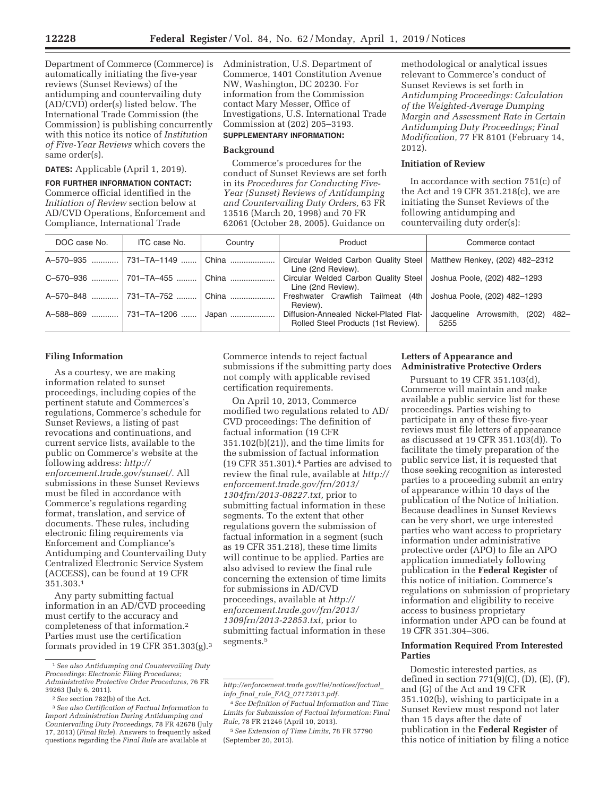Department of Commerce (Commerce) is automatically initiating the five-year reviews (Sunset Reviews) of the antidumping and countervailing duty (AD/CVD) order(s) listed below. The International Trade Commission (the Commission) is publishing concurrently with this notice its notice of *Institution of Five-Year Reviews* which covers the same order(s).

#### **DATES:** Applicable (April 1, 2019).

**FOR FURTHER INFORMATION CONTACT:**  Commerce official identified in the *Initiation of Review* section below at AD/CVD Operations, Enforcement and Compliance, International Trade

Administration, U.S. Department of Commerce, 1401 Constitution Avenue NW, Washington, DC 20230. For information from the Commission contact Mary Messer, Office of Investigations, U.S. International Trade Commission at (202) 205–3193. **SUPPLEMENTARY INFORMATION:** 

# **Background**

Commerce's procedures for the conduct of Sunset Reviews are set forth in its *Procedures for Conducting Five-Year (Sunset) Reviews of Antidumping and Countervailing Duty Orders,* 63 FR 13516 (March 20, 1998) and 70 FR 62061 (October 28, 2005). Guidance on

methodological or analytical issues relevant to Commerce's conduct of Sunset Reviews is set forth in *Antidumping Proceedings: Calculation of the Weighted-Average Dumping Margin and Assessment Rate in Certain Antidumping Duty Proceedings; Final Modification,* 77 FR 8101 (February 14, 2012).

## **Initiation of Review**

In accordance with section 751(c) of the Act and 19 CFR 351.218(c), we are initiating the Sunset Reviews of the following antidumping and countervailing duty order(s):

| DOC case No. | ITC case No. | Country | Product                                                                                     | Commerce contact                             |
|--------------|--------------|---------|---------------------------------------------------------------------------------------------|----------------------------------------------|
|              |              | China   | Circular Welded Carbon Quality Steel   Matthew Renkey, (202) 482–2312<br>Line (2nd Review). |                                              |
|              |              | China   | Circular Welded Carbon Quality Steel   Joshua Poole, (202) 482-1293<br>Line (2nd Review).   |                                              |
|              |              | China   | Freshwater Crawfish Tailmeat (4th Joshua Poole, (202) 482-1293<br>Review).                  |                                              |
|              |              | Japan   | Diffusion-Annealed Nickel-Plated Flat-<br>Rolled Steel Products (1st Review).               | Jacqueline Arrowsmith, (202)<br>-482<br>5255 |

### **Filing Information**

As a courtesy, we are making information related to sunset proceedings, including copies of the pertinent statute and Commerces's regulations, Commerce's schedule for Sunset Reviews, a listing of past revocations and continuations, and current service lists, available to the public on Commerce's website at the following address: *http:// enforcement.trade.gov/sunset/.* All submissions in these Sunset Reviews must be filed in accordance with Commerce's regulations regarding format, translation, and service of documents. These rules, including electronic filing requirements via Enforcement and Compliance's Antidumping and Countervailing Duty Centralized Electronic Service System (ACCESS), can be found at 19 CFR 351.303.1

Any party submitting factual information in an AD/CVD proceeding must certify to the accuracy and completeness of that information.2 Parties must use the certification formats provided in 19 CFR 351.303(g).3 Commerce intends to reject factual submissions if the submitting party does not comply with applicable revised certification requirements.

On April 10, 2013, Commerce modified two regulations related to AD/ CVD proceedings: The definition of factual information (19 CFR 351.102(b)(21)), and the time limits for the submission of factual information (19 CFR 351.301).4 Parties are advised to review the final rule, available at *http:// enforcement.trade.gov/frn/2013/ 1304frn/2013-08227.txt,* prior to submitting factual information in these segments. To the extent that other regulations govern the submission of factual information in a segment (such as 19 CFR 351.218), these time limits will continue to be applied. Parties are also advised to review the final rule concerning the extension of time limits for submissions in AD/CVD proceedings, available at *http:// enforcement.trade.gov/frn/2013/ 1309frn/2013-22853.txt,* prior to submitting factual information in these segments.5

### **Letters of Appearance and Administrative Protective Orders**

Pursuant to 19 CFR 351.103(d), Commerce will maintain and make available a public service list for these proceedings. Parties wishing to participate in any of these five-year reviews must file letters of appearance as discussed at 19 CFR 351.103(d)). To facilitate the timely preparation of the public service list, it is requested that those seeking recognition as interested parties to a proceeding submit an entry of appearance within 10 days of the publication of the Notice of Initiation. Because deadlines in Sunset Reviews can be very short, we urge interested parties who want access to proprietary information under administrative protective order (APO) to file an APO application immediately following publication in the **Federal Register** of this notice of initiation. Commerce's regulations on submission of proprietary information and eligibility to receive access to business proprietary information under APO can be found at 19 CFR 351.304–306.

### **Information Required From Interested Parties**

Domestic interested parties, as defined in section  $771(9)(C)$ ,  $(D)$ ,  $(E)$ ,  $(F)$ , and (G) of the Act and 19 CFR 351.102(b), wishing to participate in a Sunset Review must respond not later than 15 days after the date of publication in the **Federal Register** of this notice of initiation by filing a notice

<sup>1</sup>*See also Antidumping and Countervailing Duty Proceedings: Electronic Filing Procedures; Administrative Protective Order Procedures,* 76 FR 39263 (July 6, 2011).

<sup>2</sup>*See* section 782(b) of the Act.

<sup>3</sup>*See also Certification of Factual Information to Import Administration During Antidumping and Countervailing Duty Proceedings,* 78 FR 42678 (July 17, 2013) (*Final Rule*). Answers to frequently asked questions regarding the *Final Rule* are available at

*http://enforcement.trade.gov/tlei/notices/factual*\_ *info*\_*final*\_*rule*\_*FAQ*\_*07172013.pdf.* 

<sup>4</sup>*See Definition of Factual Information and Time Limits for Submission of Factual Information: Final Rule,* 78 FR 21246 (April 10, 2013).

<sup>5</sup>*See Extension of Time Limits,* 78 FR 57790 (September 20, 2013).